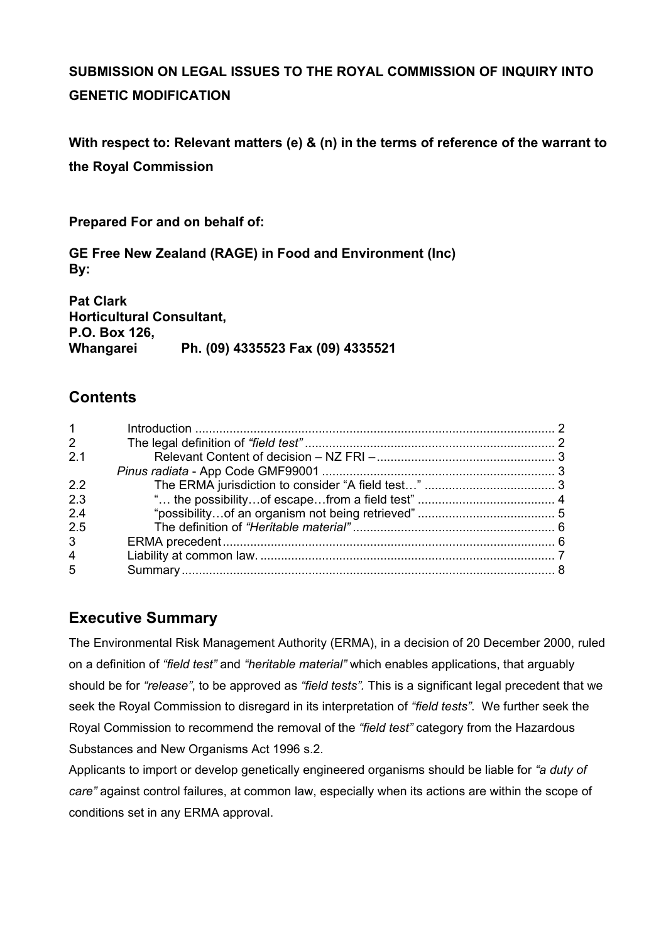# **SUBMISSION ON LEGAL ISSUES TO THE ROYAL COMMISSION OF INQUIRY INTO GENETIC MODIFICATION**

**With respect to: Relevant matters (e) & (n) in the terms of reference of the warrant to the Royal Commission** 

**Prepared For and on behalf of:** 

**GE Free New Zealand (RAGE) in Food and Environment (Inc) By:** 

**Pat Clark Horticultural Consultant, P.O. Box 126, Whangarei Ph. (09) 4335523 Fax (09) 4335521** 

## **Contents**

| $1 \quad$      |  |
|----------------|--|
| $\overline{2}$ |  |
| 2.1            |  |
|                |  |
| 2.2            |  |
| 2.3            |  |
| 2.4            |  |
| 2.5            |  |
| 3 <sup>7</sup> |  |
| $\overline{4}$ |  |
| 5              |  |
|                |  |

# **Executive Summary**

The Environmental Risk Management Authority (ERMA), in a decision of 20 December 2000, ruled on a definition of *"field test"* and *"heritable material"* which enables applications, that arguably should be for *"release"*, to be approved as *"field tests".* This is a significant legal precedent that we seek the Royal Commission to disregard in its interpretation of *"field tests"*. We further seek the Royal Commission to recommend the removal of the *"field test"* category from the Hazardous Substances and New Organisms Act 1996 s.2.

Applicants to import or develop genetically engineered organisms should be liable for *"a duty of care"* against control failures, at common law, especially when its actions are within the scope of conditions set in any ERMA approval.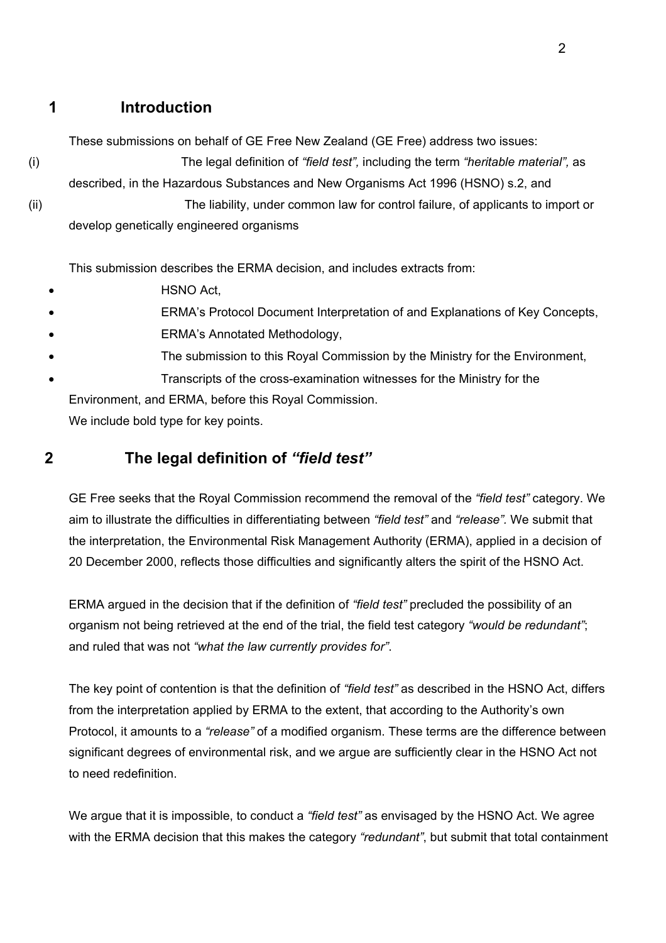## <span id="page-1-0"></span>**1 Introduction**

These submissions on behalf of GE Free New Zealand (GE Free) address two issues:

(i) The legal definition of *"field test",* including the term *"heritable material",* as described, in the Hazardous Substances and New Organisms Act 1996 (HSNO) s.2, and (ii) The liability, under common law for control failure, of applicants to import or develop genetically engineered organisms

This submission describes the ERMA decision, and includes extracts from:

- HSNO Act,
- ERMA's Protocol Document Interpretation of and Explanations of Key Concepts,
- ERMA's Annotated Methodology,
- The submission to this Royal Commission by the Ministry for the Environment,
- Transcripts of the cross-examination witnesses for the Ministry for the

Environment, and ERMA, before this Royal Commission.

We include bold type for key points.

## **2 The legal definition of** *"field test"*

GE Free seeks that the Royal Commission recommend the removal of the *"field test"* category. We aim to illustrate the difficulties in differentiating between *"field test"* and *"release".* We submit that the interpretation, the Environmental Risk Management Authority (ERMA), applied in a decision of 20 December 2000, reflects those difficulties and significantly alters the spirit of the HSNO Act.

ERMA argued in the decision that if the definition of *"field test"* precluded the possibility of an organism not being retrieved at the end of the trial, the field test category *"would be redundant"*; and ruled that was not *"what the law currently provides for"*.

The key point of contention is that the definition of *"field test"* as described in the HSNO Act, differs from the interpretation applied by ERMA to the extent, that according to the Authority's own Protocol, it amounts to a *"release"* of a modified organism. These terms are the difference between significant degrees of environmental risk, and we argue are sufficiently clear in the HSNO Act not to need redefinition.

We argue that it is impossible, to conduct a *"field test"* as envisaged by the HSNO Act. We agree with the ERMA decision that this makes the category *"redundant"*, but submit that total containment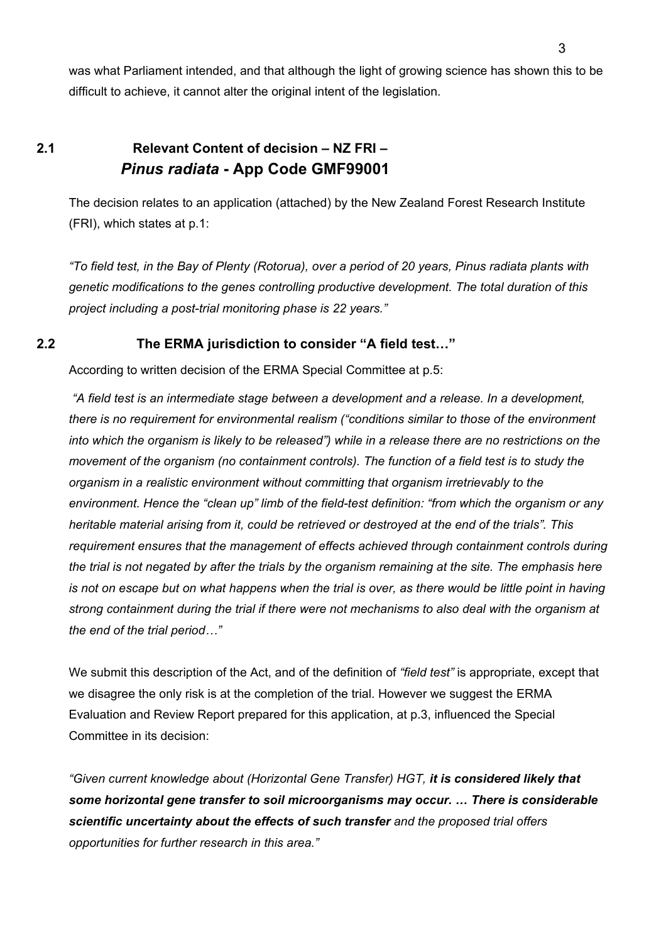<span id="page-2-0"></span>was what Parliament intended, and that although the light of growing science has shown this to be difficult to achieve, it cannot alter the original intent of the legislation.

## **2.1 Relevant Content of decision – NZ FRI –**   *Pinus radiata* **- App Code GMF99001**

The decision relates to an application (attached) by the New Zealand Forest Research Institute (FRI), which states at p.1:

*"To field test, in the Bay of Plenty (Rotorua), over a period of 20 years, Pinus radiata plants with genetic modifications to the genes controlling productive development. The total duration of this project including a post-trial monitoring phase is 22 years."* 

### **2.2 The ERMA jurisdiction to consider "A field test…"**

According to written decision of the ERMA Special Committee at p.5:

 *"A field test is an intermediate stage between a development and a release. In a development, there is no requirement for environmental realism ("conditions similar to those of the environment into which the organism is likely to be released") while in a release there are no restrictions on the movement of the organism (no containment controls). The function of a field test is to study the organism in a realistic environment without committing that organism irretrievably to the environment. Hence the "clean up" limb of the field-test definition: "from which the organism or any heritable material arising from it, could be retrieved or destroyed at the end of the trials". This requirement ensures that the management of effects achieved through containment controls during the trial is not negated by after the trials by the organism remaining at the site. The emphasis here is not on escape but on what happens when the trial is over, as there would be little point in having strong containment during the trial if there were not mechanisms to also deal with the organism at the end of the trial period…"*

We submit this description of the Act, and of the definition of *"field test"* is appropriate, except that we disagree the only risk is at the completion of the trial. However we suggest the ERMA Evaluation and Review Report prepared for this application, at p.3, influenced the Special Committee in its decision:

*"Given current knowledge about (Horizontal Gene Transfer) HGT, it is considered likely that some horizontal gene transfer to soil microorganisms may occur. … There is considerable scientific uncertainty about the effects of such transfer and the proposed trial offers opportunities for further research in this area."*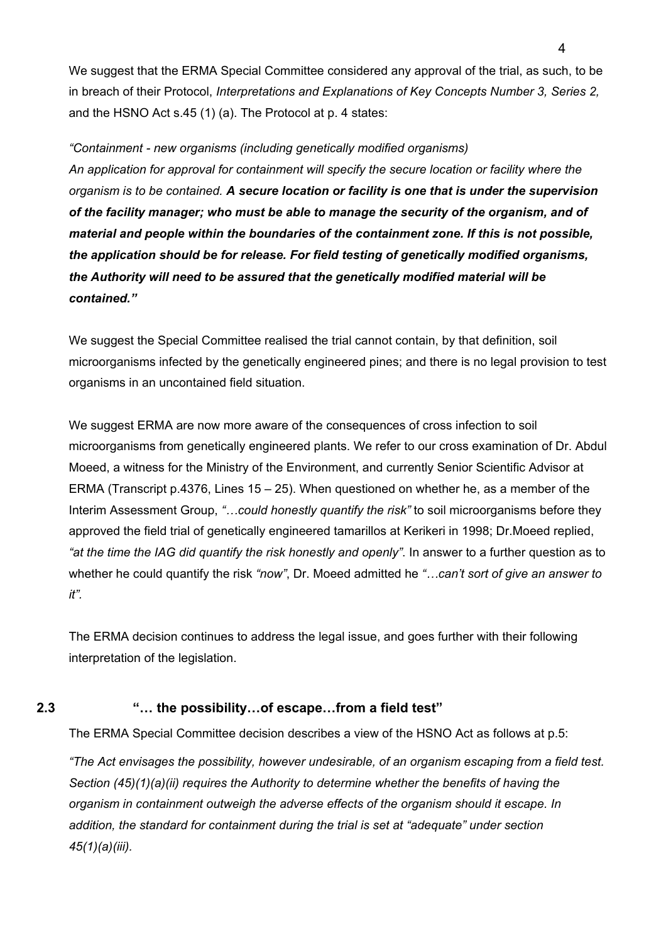<span id="page-3-0"></span>We suggest that the ERMA Special Committee considered any approval of the trial, as such, to be in breach of their Protocol, *Interpretations and Explanations of Key Concepts Number 3, Series 2,* and the HSNO Act s.45 (1) (a). The Protocol at p. 4 states:

*"Containment - new organisms (including genetically modified organisms) An application for approval for containment will specify the secure location or facility where the organism is to be contained. A secure location or facility is one that is under the supervision of the facility manager; who must be able to manage the security of the organism, and of material and people within the boundaries of the containment zone. If this is not possible, the application should be for release. For field testing of genetically modified organisms, the Authority will need to be assured that the genetically modified material will be contained."* 

We suggest the Special Committee realised the trial cannot contain, by that definition, soil microorganisms infected by the genetically engineered pines; and there is no legal provision to test organisms in an uncontained field situation.

We suggest ERMA are now more aware of the consequences of cross infection to soil microorganisms from genetically engineered plants. We refer to our cross examination of Dr. Abdul Moeed, a witness for the Ministry of the Environment, and currently Senior Scientific Advisor at ERMA (Transcript p.4376, Lines 15 – 25). When questioned on whether he, as a member of the Interim Assessment Group, *"…could honestly quantify the risk"* to soil microorganisms before they approved the field trial of genetically engineered tamarillos at Kerikeri in 1998; Dr.Moeed replied, *"at the time the IAG did quantify the risk honestly and openly"*. In answer to a further question as to whether he could quantify the risk *"now"*, Dr. Moeed admitted he *"…can't sort of give an answer to it".* 

The ERMA decision continues to address the legal issue, and goes further with their following interpretation of the legislation.

#### **2.3 "… the possibility…of escape…from a field test"**

The ERMA Special Committee decision describes a view of the HSNO Act as follows at p.5:

*"The Act envisages the possibility, however undesirable, of an organism escaping from a field test. Section (45)(1)(a)(ii) requires the Authority to determine whether the benefits of having the organism in containment outweigh the adverse effects of the organism should it escape. In addition, the standard for containment during the trial is set at "adequate" under section 45(1)(a)(iii).*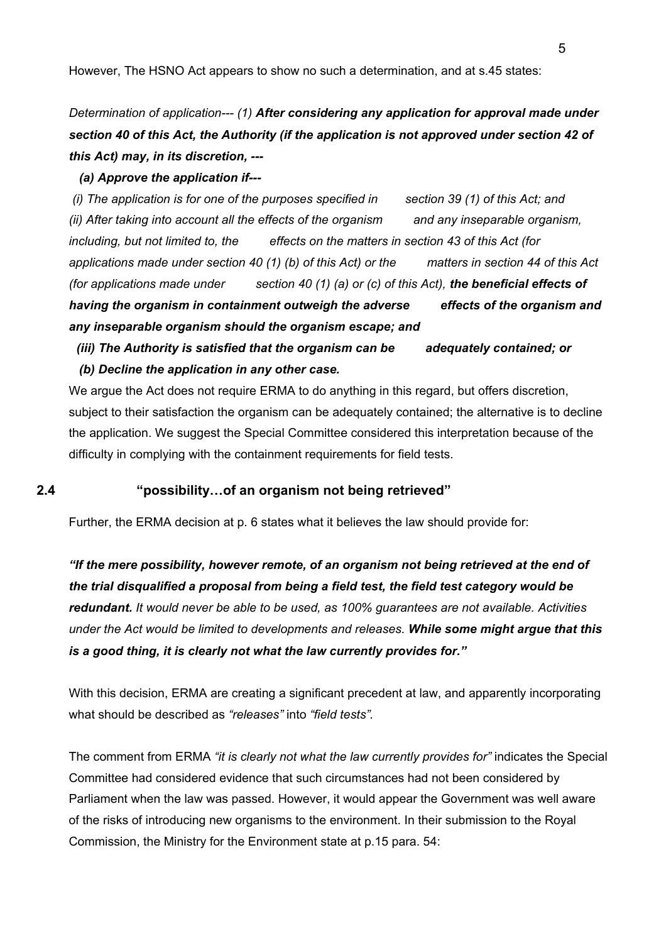<span id="page-4-0"></span>However, The HSNO Act appears to show no such a determination, and at s.45 states:

# *Determination of application--- (1) After considering any application for approval made under section 40 of this Act, the Authority (if the application is not approved under section 42 of this Act) may, in its discretion, ---*

#### *(a) Approve the application if---*

*(i)* The application is for one of the purposes specified in section 39 (1) of this Act; and *(ii) After taking into account all the effects of the organism and any inseparable organism, including, but not limited to, the effects on the matters in section 43 of this Act (for applications made under section 40 (1) (b) of this Act) or the matters in section 44 of this Act (for applications made under section 40 (1) (a) or (c) of this Act), the beneficial effects of having the organism in containment outweigh the adverse effects of the organism and any inseparable organism should the organism escape; and* 

### *(iii) The Authority is satisfied that the organism can be adequately contained; or (b) Decline the application in any other case.*

We argue the Act does not require ERMA to do anything in this regard, but offers discretion, subject to their satisfaction the organism can be adequately contained; the alternative is to decline the application. We suggest the Special Committee considered this interpretation because of the difficulty in complying with the containment requirements for field tests.

#### **2.4 "possibility…of an organism not being retrieved"**

Further, the ERMA decision at p. 6 states what it believes the law should provide for:

*"If the mere possibility, however remote, of an organism not being retrieved at the end of the trial disqualified a proposal from being a field test, the field test category would be redundant. It would never be able to be used, as 100% guarantees are not available. Activities under the Act would be limited to developments and releases. While some might argue that this is a good thing, it is clearly not what the law currently provides for."* 

With this decision, ERMA are creating a significant precedent at law, and apparently incorporating what should be described as *"releases"* into *"field tests".*

The comment from ERMA *"it is clearly not what the law currently provides for"* indicates the Special Committee had considered evidence that such circumstances had not been considered by Parliament when the law was passed. However, it would appear the Government was well aware of the risks of introducing new organisms to the environment. In their submission to the Royal Commission, the Ministry for the Environment state at p.15 para. 54: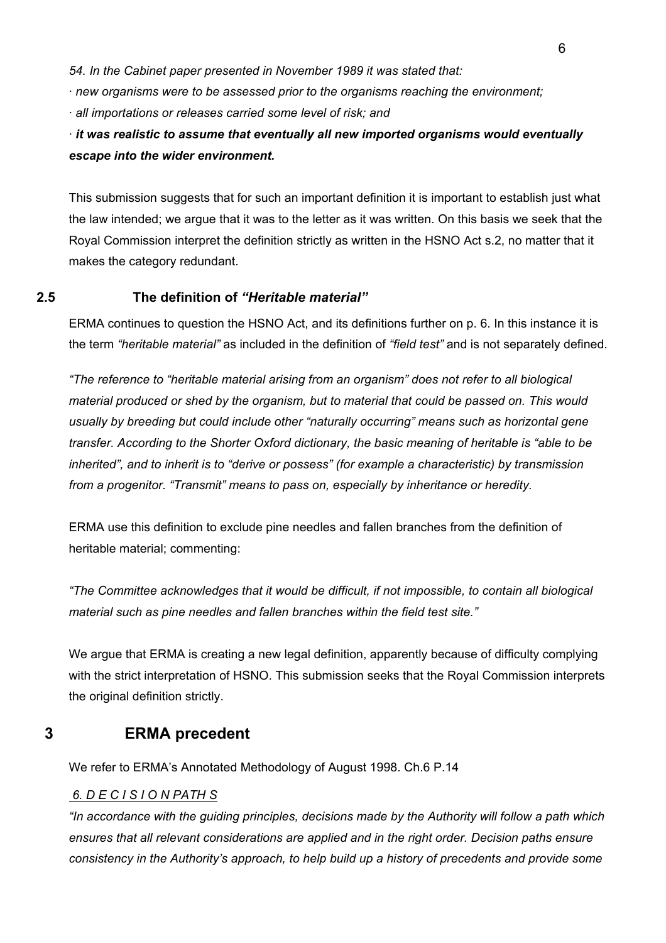<span id="page-5-0"></span>*54. In the Cabinet paper presented in November 1989 it was stated that:* 

*· new organisms were to be assessed prior to the organisms reaching the environment;* 

*· all importations or releases carried some level of risk; and* 

## *· it was realistic to assume that eventually all new imported organisms would eventually escape into the wider environment.*

This submission suggests that for such an important definition it is important to establish just what the law intended; we argue that it was to the letter as it was written. On this basis we seek that the Royal Commission interpret the definition strictly as written in the HSNO Act s.2, no matter that it makes the category redundant.

### **2.5 The definition of** *"Heritable material"*

ERMA continues to question the HSNO Act, and its definitions further on p. 6. In this instance it is the term *"heritable material"* as included in the definition of *"field test"* and is not separately defined.

*"The reference to "heritable material arising from an organism" does not refer to all biological material produced or shed by the organism, but to material that could be passed on. This would usually by breeding but could include other "naturally occurring" means such as horizontal gene transfer. According to the Shorter Oxford dictionary, the basic meaning of heritable is "able to be inherited", and to inherit is to "derive or possess" (for example a characteristic) by transmission from a progenitor. "Transmit" means to pass on, especially by inheritance or heredity.* 

ERMA use this definition to exclude pine needles and fallen branches from the definition of heritable material; commenting:

*"The Committee acknowledges that it would be difficult, if not impossible, to contain all biological material such as pine needles and fallen branches within the field test site."*

We argue that ERMA is creating a new legal definition, apparently because of difficulty complying with the strict interpretation of HSNO. This submission seeks that the Royal Commission interprets the original definition strictly.

### **3 ERMA precedent**

We refer to ERMA's Annotated Methodology of August 1998. Ch.6 P.14

### *6. D E C I S I O N PATH S*

*"In accordance with the guiding principles, decisions made by the Authority will follow a path which ensures that all relevant considerations are applied and in the right order. Decision paths ensure consistency in the Authority's approach, to help build up a history of precedents and provide some*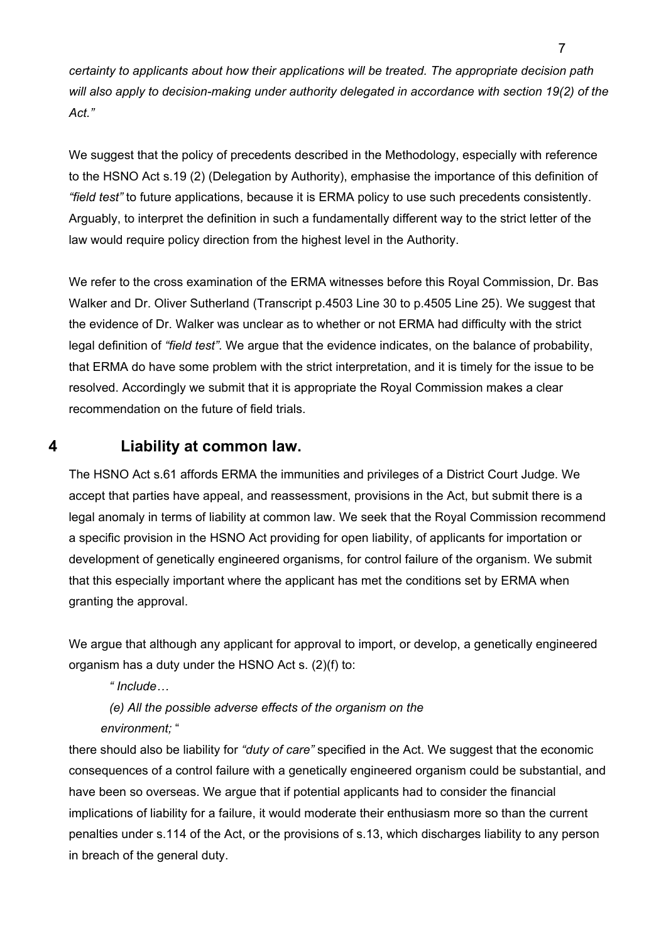<span id="page-6-0"></span>*certainty to applicants about how their applications will be treated. The appropriate decision path will also apply to decision-making under authority delegated in accordance with section 19(2) of the Act."* 

We suggest that the policy of precedents described in the Methodology, especially with reference to the HSNO Act s.19 (2) (Delegation by Authority), emphasise the importance of this definition of *"field test"* to future applications, because it is ERMA policy to use such precedents consistently. Arguably, to interpret the definition in such a fundamentally different way to the strict letter of the law would require policy direction from the highest level in the Authority.

We refer to the cross examination of the ERMA witnesses before this Royal Commission, Dr. Bas Walker and Dr. Oliver Sutherland (Transcript p.4503 Line 30 to p.4505 Line 25). We suggest that the evidence of Dr. Walker was unclear as to whether or not ERMA had difficulty with the strict legal definition of *"field test"*. We argue that the evidence indicates, on the balance of probability, that ERMA do have some problem with the strict interpretation, and it is timely for the issue to be resolved. Accordingly we submit that it is appropriate the Royal Commission makes a clear recommendation on the future of field trials.

### **4 Liability at common law.**

The HSNO Act s.61 affords ERMA the immunities and privileges of a District Court Judge. We accept that parties have appeal, and reassessment, provisions in the Act, but submit there is a legal anomaly in terms of liability at common law. We seek that the Royal Commission recommend a specific provision in the HSNO Act providing for open liability, of applicants for importation or development of genetically engineered organisms, for control failure of the organism. We submit that this especially important where the applicant has met the conditions set by ERMA when granting the approval.

We argue that although any applicant for approval to import, or develop, a genetically engineered organism has a duty under the HSNO Act s. (2)(f) to:

*" Include…* 

*(e) All the possible adverse effects of the organism on the environment;* "

there should also be liability for *"duty of care"* specified in the Act. We suggest that the economic consequences of a control failure with a genetically engineered organism could be substantial, and have been so overseas. We argue that if potential applicants had to consider the financial implications of liability for a failure, it would moderate their enthusiasm more so than the current penalties under s.114 of the Act, or the provisions of s.13, which discharges liability to any person in breach of the general duty.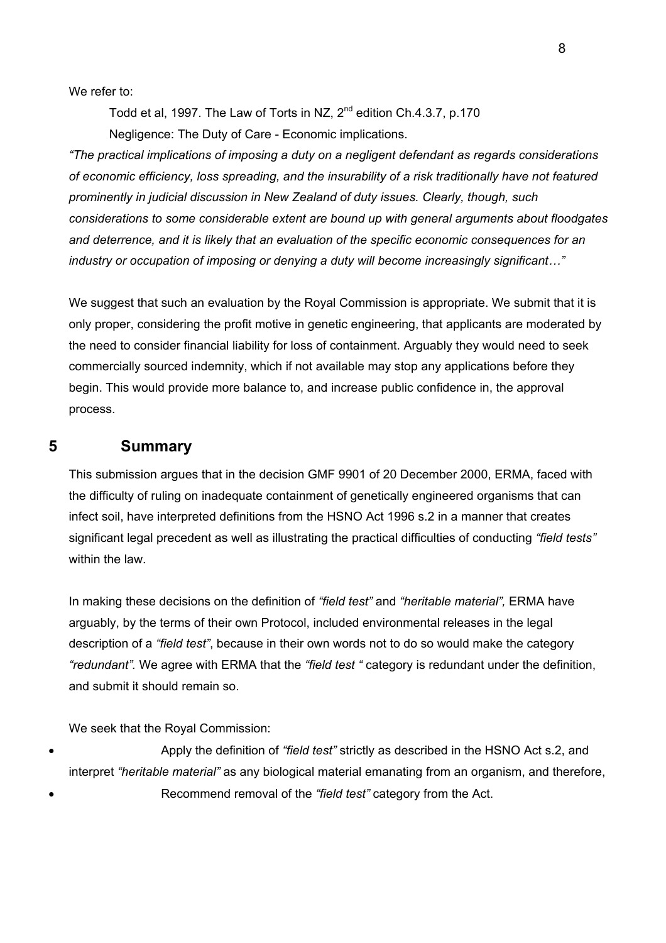<span id="page-7-0"></span>We refer to:

Todd et al, 1997. The Law of Torts in NZ, 2<sup>nd</sup> edition Ch.4.3.7, p.170 Negligence: The Duty of Care - Economic implications.

*"The practical implications of imposing a duty on a negligent defendant as regards considerations of economic efficiency, loss spreading, and the insurability of a risk traditionally have not featured prominently in judicial discussion in New Zealand of duty issues. Clearly, though, such considerations to some considerable extent are bound up with general arguments about floodgates and deterrence, and it is likely that an evaluation of the specific economic consequences for an industry or occupation of imposing or denying a duty will become increasingly significant…"*

We suggest that such an evaluation by the Royal Commission is appropriate. We submit that it is only proper, considering the profit motive in genetic engineering, that applicants are moderated by the need to consider financial liability for loss of containment. Arguably they would need to seek commercially sourced indemnity, which if not available may stop any applications before they begin. This would provide more balance to, and increase public confidence in, the approval process.

#### **5 Summary**

This submission argues that in the decision GMF 9901 of 20 December 2000, ERMA, faced with the difficulty of ruling on inadequate containment of genetically engineered organisms that can infect soil, have interpreted definitions from the HSNO Act 1996 s.2 in a manner that creates significant legal precedent as well as illustrating the practical difficulties of conducting *"field tests"* within the law.

In making these decisions on the definition of *"field test"* and *"heritable material",* ERMA have arguably, by the terms of their own Protocol, included environmental releases in the legal description of a *"field test"*, because in their own words not to do so would make the category *"redundant".* We agree with ERMA that the *"field test "* category is redundant under the definition, and submit it should remain so.

We seek that the Royal Commission:

• Apply the definition of *"field test"* strictly as described in the HSNO Act s.2, and interpret *"heritable material"* as any biological material emanating from an organism, and therefore, • Recommend removal of the *"field test"* category from the Act.